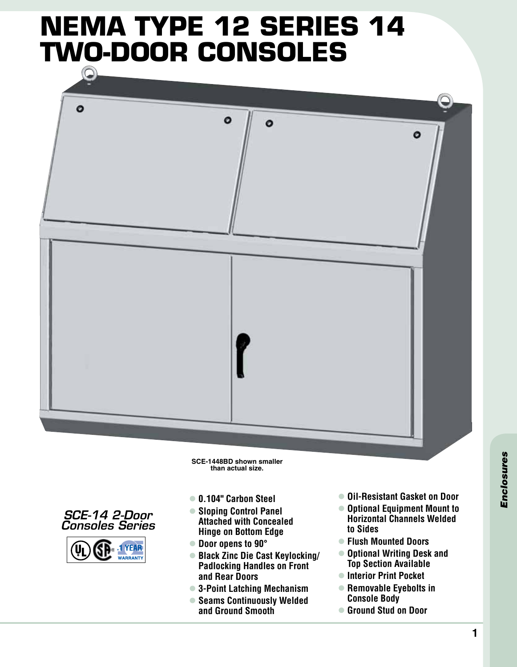# **NEMA Type 12 series 14 two-door consoles**



**SCE-1448BD shown smaller than actual size.**





- l **0.104" Carbon Steel**
- $\bullet$  **Sloping Control Panel Attached with Concealed Hinge on Bottom Edge**
- Door opens to 90°
- l **Black Zinc Die Cast Keylocking/ Padlocking Handles on Front and Rear Doors**
- l **3-Point Latching Mechanism**
- **Seams Continuously Welded and Ground Smooth**
- l **Oil-Resistant Gasket on Door**
- $\bullet$  **Optional Equipment Mount to Horizontal Channels Welded to Sides**
- l **Flush Mounted Doors**
- $\bullet$  **Optional Writing Desk and Top Section Available**
- $\bullet$  **Interior Print Pocket**
- **Removable Eyebolts in Console Body**
- Ground Stud on Door